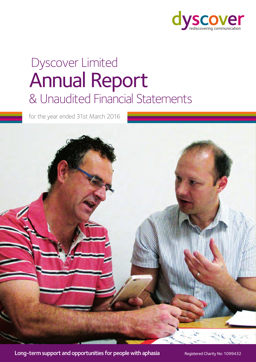

# & Unaudited Financial Statements Annual Report Dyscover Limited

for the year ended 31st March 2016



Long-term support and opportunities for people with aphasia Registered Charity No: 1099432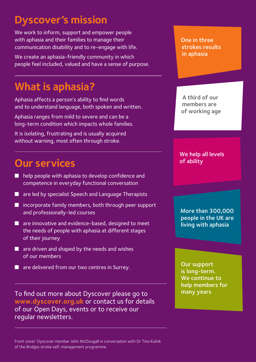# **Dyscover's mission**

We work to inform, support and empower people with aphasia and their families to manage their communication disability and to re-engage with life.

We create an aphasia-friendly community in which people feel included, valued and have a sense of purpose.

# **What is aphasia?**

Aphasia affects a person's ability to find words and to understand language, both spoken and written.

Aphasia ranges from mild to severe and can be a long-term condition which impacts whole families.

It is isolating, frustrating and is usually acquired without warning, most often through stroke.

# **Our services**

- $\blacksquare$  help people with aphasia to develop confidence and competence in everyday functional conversation
- $\blacksquare$  are led by specialist Speech and Language Therapists
- $\blacksquare$  incorporate family members, both through peer support and professionally-led courses
- $\blacksquare$  are innovative and evidence-based, designed to meet the needs of people with aphasia at different stages of their journey
- $\blacksquare$  are driven and shaped by the needs and wishes of our members
- $\blacksquare$  are delivered from our two centres in Surrey.

To find out more about Dyscover please go to **www.dyscover.org.uk** or contact us for details of our Open Days, events or to receive our regular newsletters.

One in three strokes results in aphasia

A third of our members are of working age

We help all levels of ability

More than 300,000 people in the UK are living with aphasia

Our support is long-term. We continue to help members for many years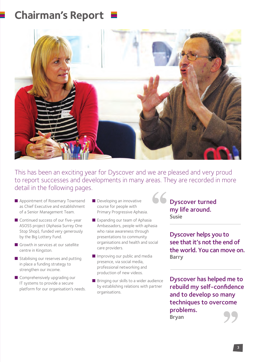# **Chairman's Report**



This has been an exciting year for Dyscover and we are pleased and very proud to report successes and developments in many areas. They are recorded in more detail in the following pages.

- Appointment of Rosemary Townsend as Chief Executive and establishment of a Senior Management Team.
- $\blacksquare$  Continued success of our five-year ASOSS project (Aphasia Surrey One Stop Shop), funded very generously by the Big Lottery Fund.
- $\blacksquare$  Growth in services at our satellite centre in Kingston.
- $\blacksquare$  Stabilising our reserves and putting in place a funding strategy to strengthen our income.
- $\blacksquare$  Comprehensively upgrading our IT systems to provide a secure platform for our organisation's needs.
- $\blacksquare$  Developing an innovative course for people with Primary Progressive Aphasia.
- $\blacksquare$  Expanding our team of Aphasia Ambassadors, people with aphasia who raise awareness through presentations to community organisations and health and social care providers.
- $\blacksquare$  Improving our public and media presence, via social media, professional networking and production of new videos.
- $\blacksquare$  Bringing our skills to a wider audience by establishing relations with partner organisations.

66 Dyscover turned my life around. Susie

> Dyscover helps you to see that it's not the end of the world. You can move on. Barry

> Dyscover has helped me to rebuild my self-confidence and to develop so many techniques to overcome problems. Bryan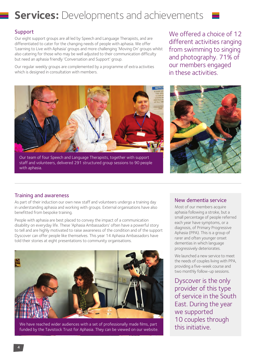

### Support

Our eight support groups are all led by Speech and Language Therapists, and are differentiated to cater for the changing needs of people with aphasia. We offer 'Learning to Live with Aphasia' groups and more challenging 'Moving On' groups whilst also catering for those who may be well adjusted to their communication difficulty but need an aphasia friendly 'Conversation and Support' group.

Our regular weekly groups are complemented by a programme of extra activities which is designed in consultation with members.



Our team of four Speech and Language Therapists, together with support staff and volunteers, delivered 291 structured group sessions to 90 people with aphasia.

We offered a choice of 12 different activities ranging from swimming to singing and photography. 71% of our members engaged in these activities.



### Training and awareness

As part of their induction our own new staff and volunteers undergo a training day in understanding aphasia and working with groups. External organisations have also benefitted from bespoke training.

People with aphasia are best placed to convey the impact of a communication disability on everyday life. These 'Aphasia Ambassadors' often have a powerful story to tell and are highly motivated to raise awareness of the condition and of the support Dyscover can offer people like themselves. This year 14 Aphasia Ambassadors have told their stories at eight presentations to community organisations.



We have reached wider audiences with a set of professionally made films, part funded by the Tavistock Trust for Aphasia. They can be viewed on our website.

### New dementia service

Most of our members acquire aphasia following a stroke, but a small percentage of people referred each year have symptoms, or a diagnosis, of Primary Progressive Aphasia (PPA). This is a group of rarer and often younger onset dementias in which language progressively deteriorates.

We launched a new service to meet the needs of couples living with PPA, providing a five-week course and two monthly follow-up sessions.

Dyscover is the only provider of this type of service in the South East. During the year we supported 10 couples through this initiative.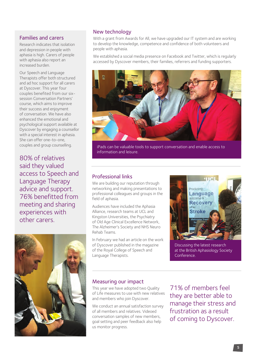### Families and carers

Research indicates that isolation and depression in people with aphasia is high. Carers of people with aphasia also report an increased burden.

Our Speech and Language Therapists offer both structured and ad hoc support for all carers at Dyscover. This year four couples benefited from our sixsession Conversation Partners' course, which aims to improve their success and enjoyment of conversation. We have also enhanced the emotional and psychological support available at Dyscover by engaging a counsellor with a special interest in aphasia. She can offer one-to-one, couples and group counselling.

80% of relatives said they valued access to Speech and Language Therapy advice and support. 76% benefitted from meeting and sharing experiences with other carers.



### New technology

With a grant from Awards for All, we have upgraded our IT system and are working to develop the knowledge, competence and confidence of both volunteers and people with aphasia.

We established a social media presence on Facebook and Twitter, which is regularly accessed by Dyscover members, their families, referrers and funding supporters.



iPads can be valuable tools to support conversation and enable access to information and leisure.

### Professional links

We are building our reputation through networking and making presentations to professional colleagues and groups in the field of aphasia.

Audiences have included the Aphasia Alliance, research teams at UCL and Kingston Universities, the Psychiatry of Old Age Clinical Excellence Network, The Alzheimer's Society and NHS Neuro Rehab Teams.

In February we had an article on the work of Dyscover published in the magazine of the Royal College of Speech and Language Therapists.



Discussing the latest research at the British Aphasiology Society Conference.

### Measuring our impact

This year we have adopted two Quality of Life measures to use with new relatives and members who join Dyscover.

We conduct an annual satisfaction survey of all members and relatives. Videoed conversation samples of new members, goal setting and peer feedback also help us monitor progress.

71% of members feel they are better able to manage their stress and frustration as a result of coming to Dyscover.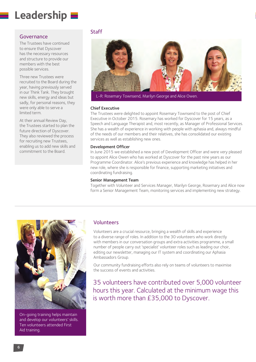# **Leadership**

### Governance

The Trustees have continued to ensure that Dyscover has the necessary resources and structure to provide our members with the best possible services.

Three new Trustees were recruited to the Board during the year, having previously served in our Think Tank. They brought new skills, energy and ideas but sadly, for personal reasons, they were only able to serve a limited term.

At their annual Review Day, the Trustees started to plan the future direction of Dyscover. They also reviewed the process for recruiting new Trustees, enabling us to add new skills and commitment to the Board.

### Staff



L-R: Rosemary Townsend, Marilyn George and Alice Owen.

### Chief Executive

The Trustees were delighted to appoint Rosemary Townsend to the post of Chief Executive in October 2015. Rosemary has worked for Dyscover for 15 years, as a Speech and Language Therapist and, most recently, as Manager of Professional Services. She has a wealth of experience in working with people with aphasia and, always mindful of the needs of our members and their relatives, she has consolidated our existing services as well as establishing new ones.

### Development Officer

In June 2015 we established a new post of Development Officer and were very pleased to appoint Alice Owen who has worked at Dyscover for the past nine years as our Programme Coordinator. Alice's previous experience and knowledge has helped in her new role, where she is responsible for finance, supporting marketing initiatives and coordinating fundraising.

#### Senior Management Team

Together with Volunteer and Services Manager, Marilyn George, Rosemary and Alice now form a Senior Management Team, monitoring services and implementing new strategy.



On-going training helps maintain and develop our volunteers' skills. Ten volunteers attended First Aid training.

### Volunteers

Volunteers are a crucial resource, bringing a wealth of skills and experience to a diverse range of roles. In addition to the 30 volunteers who work directly with members in our conversation groups and extra activities programme, a small number of people carry out 'specialist' volunteer roles such as leading our choir, editing our newsletter, managing our IT system and coordinating our Aphasia Ambassadors Group.

Our community fundraising efforts also rely on teams of volunteers to maximise the success of events and activities.

35 volunteers have contributed over 5,000 volunteer hours this year. Calculated at the minimum wage this is worth more than £35,000 to Dyscover.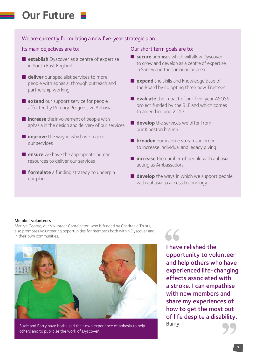# **Our Future**

### We are currently formulating a new five-year strategic plan.

### Its main objectives are to:

- **n** establish Dyscover as a centre of expertise in South East England
- **deliver** our specialist services to more people with aphasia, through outreach and partnership working
- **n** extend our support service for people affected by Primary Progressive Aphasia
- **n** increase the involvement of people with aphasia in the design and delivery of our services
- **n improve** the way in which we market our services
- **n** ensure we have the appropriate human resources to deliver our services
- **n** formulate a funding strategy to underpin our plan.

### Our short term goals are to:

- **n** secure premises which will allow Dyscover to grow and develop as a centre of expertise in Surrey and the surrounding area
- **n** expand the skills and knowledge base of the Board by co opting three new Trustees
- **evaluate** the impact of our five-year ASOSS project funded by the BLF and which comes to an end in June 2017
- **develop** the services we offer from our Kingston branch
- **n broaden** our income streams in order to increase individual and legacy giving
- **n** increase the number of people with aphasia acting as Ambassadors
- **develop** the ways in which we support people with aphasia to access technology.

### Member volunteers

Marilyn George, our Volunteer Coordinator, who is funded by Charitable Trusts, also promotes volunteering opportunities for members both within Dyscover and in their own communities.



Suzie and Barry have both used their own experience of aphasia to help others and to publicise the work of Dyscover.

I have relished the opportunity to volunteer and help others who have experienced life-changing effects associated with a stroke. I can empathise with new members and share my experiences of how to get the most out of life despite a disability. Barry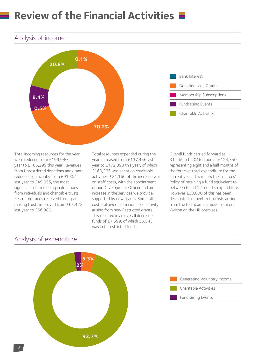# **Review of the Financial Activities**

## Analysis of income





Total incoming resources for the year were reduced from £199,940 last year to £165,299 this year. Revenues from Unrestricted donations and grants reduced significantly from £91,351 last year to £49,055, the most significant decline being in donations from individuals and charitable trusts. Restricted funds received from grant making trusts improved from £63,422 last year to £66,980.

Total resources expended during the year increased from £137,456 last year to £172,898 this year, of which £160,365 was spent on charitable activities. £21,166 of the increase was on staff costs, with the appointment of our Development Officer and an increase in the services we provide, supported by new grants. Some other costs followed from increased activity arising from new Restricted grants. This resulted in an overall decrease in funds of £7,599, of which £5,543 was in Unrestricted funds.

Overall funds carried forward at 31st March 2016 stood at £124,750, representing eight and a half months of the forecast total expenditure for the current year. This meets the Trustees' Policy of retaining a fund equivalent to between 6 and 12 months expenditure. However £30,000 of this has been designated to meet extra costs arising from the forthcoming move from our Walton on the Hill premises.

## Analysis of expenditure

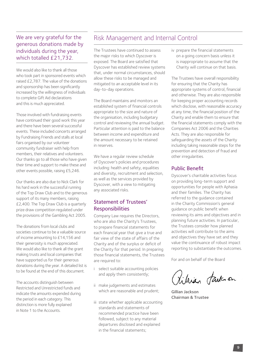## We are very grateful for the generous donations made by individuals during the year, which totalled £21,732.

We would also like to thank all those who took part in sponsored events which raised £2,787. The value of the donations and sponsorship has been significantly increased by the willingness of individuals to complete Gift Aid declarations and this is much appreciated.

Those involved with fundraising events have continued their good work this year and there have been several successful events. These included concerts arranged by Fundraising Friends and stalls at local fairs organised by our volunteer community fundraiser with help from members, their relatives and volunteers. Our thanks go to all those who have given their time and support to make these and other events possible, raising £5,246.

Our thanks are also due to Nick Clark for his hard work in the successful running of the Top Draw Club and to the generous support of its many members, raising £2,400. The Top Draw Club is a quarterly prize draw competition regulated under the provisions of the Gambling Act 2005.

The donations from local clubs and societies continue to be a valuable source of income amounting to £14,156 and their generosity is much appreciated. We would also like to thank all the grant making trusts and local companies that have supported us for their generous donations during the year. A detailed list is to be found at the end of this document.

The accounts distinguish between Restricted and Unrestricted funds and indicate the amounts expended during the period in each category. This distinction is more fully explained in Note 1 to the Accounts.

## Risk Management and Internal Control

The Trustees have continued to assess the major risks to which Dyscover is exposed. The Board are satisfied that Dyscover has established review systems that, under normal circumstances, should allow these risks to be managed and mitigated to an acceptable level in its day-to-day operations.

The Board maintains and monitors an established system of financial controls appropriate to the size and nature of the organisation, including budgetary control and reviewing the annual budget. Particular attention is paid to the balance between income and expenditure and the amount necessary to be retained in reserves.

We have a regular review schedule of Dyscover's policies and procedures including: health and safety, equalities and diversity, recruitment and selection, as well as the services provided by Dyscover, with a view to mitigating any associated risks.

### Statement of Trustees' **Responsibilities**

Company Law requires the Directors, who are also the Charity's Trustees, to prepare financial statements for each financial year that give a true and fair view of the state of affairs of the Charity and of the surplus or deficit of the Charity for that period. In preparing those financial statements, the Trustees are required to:

- i select suitable accounting policies and apply them consistently;
- ii make judgements and estimates which are reasonable and prudent;
- iii state whether applicable accounting standards and statements of recommended practice have been followed, subject to any material departures disclosed and explained in the financial statements;

iv prepare the financial statements on a going concern basis unless it is inappropriate to assume that the Charity will continue on that basis.

The Trustees have overall responsibility for ensuring that the Charity has appropriate systems of control, financial and otherwise. They are also responsible for keeping proper accounting records which disclose, with reasonable accuracy at any time, the financial position of the Charity and enable them to ensure that the financial statements comply with the Companies Act 2006 and the Charities Acts. They are also responsible for safeguarding the assets of the Charity including taking reasonable steps for the prevention and detection of fraud and other irregularities.

### Public Benefit

Dyscover's charitable activities focus on providing long-term support and opportunities for people with Aphasia and their families. The Charity has referred to the guidance contained in the Charity Commission's general guidance on public benefit when reviewing its aims and objectives and in planning future activities. In particular, the Trustees consider how planned activities will contribute to the aims and objectives they have set and they value the continuance of robust impact reporting to substantiate the outcomes.

For and on behalf of the Board

Pitrian fark on

Gillian Jackson Chairman & Trustee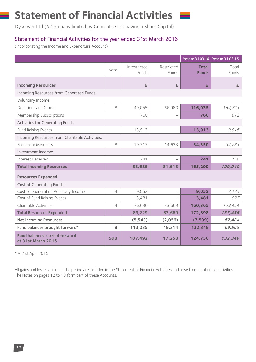# **Statement of Financial Activities**

Dyscover Ltd (A Company limited by Guarantee not having a Share Capital)

## Statement of Financial Activities for the year ended 31st March 2016

(Incorporating the Income and Expenditure Account)

|                                                            |                |              |            |              | Year to 31.03.16 Year to 31.03.15 |
|------------------------------------------------------------|----------------|--------------|------------|--------------|-----------------------------------|
|                                                            | Note           | Unrestricted | Restricted | <b>Total</b> | Total                             |
|                                                            |                | Funds        | Funds      | <b>Funds</b> | Funds                             |
| <b>Incoming Resources</b>                                  |                | £            | £          | £            | £                                 |
| Incoming Resources from Generated Funds:                   |                |              |            |              |                                   |
| Voluntary Income:                                          |                |              |            |              |                                   |
| Donations and Grants                                       | 8              | 49,055       | 66,980     | 116,035      | 154,773                           |
| Membership Subscriptions                                   |                | 760          |            | 760          | 812                               |
| <b>Activities for Generating Funds:</b>                    |                |              |            |              |                                   |
| Fund Raising Events                                        |                | 13,913       |            | 13,913       | 9,916                             |
| Incoming Resources from Charitable Activities:             |                |              |            |              |                                   |
| Fees from Members                                          | 8              | 19,717       | 14,633     | 34,350       | 34,283                            |
| Investment Income:                                         |                |              |            |              |                                   |
| Interest Received                                          |                | 241          |            | 241          | 156                               |
| <b>Total Incoming Resources</b>                            |                | 83,686       | 81,613     | 165,299      | 199,940                           |
| <b>Resources Expended</b>                                  |                |              |            |              |                                   |
| Cost of Generating Funds:                                  |                |              |            |              |                                   |
| Costs of Generating Voluntary Income                       | 4              | 9,052        |            | 9,052        | 7,175                             |
| Cost of Fund Raising Events                                |                | 3,481        |            | 3,481        | 827                               |
| Charitable Activities                                      | $\overline{4}$ | 76,696       | 83,669     | 160,365      | 129,454                           |
| <b>Total Resources Expended</b>                            |                | 89,229       | 83,669     | 172,898      | 137,456                           |
| <b>Net Incoming Resources</b>                              |                | (5, 543)     | (2,056)    | (7, 599)     | 62,484                            |
| Fund balances brought forward*                             | 8              | 113,035      | 19,314     | 132,349      | 69,865                            |
| <b>Fund balances carried forward</b><br>at 31st March 2016 | 5&8            | 107,492      | 17,258     | 124,750      | 132,349                           |

\* At 1st April 2015

All gains and losses arising in the period are included in the Statement of Financial Activities and arise from continuing activities. The Notes on pages 12 to 13 form part of these Accounts.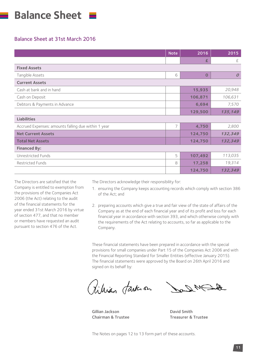

### Balance Sheet at 31st March 2016

|                                                     | <b>Note</b> | 2016     | 2015             |
|-----------------------------------------------------|-------------|----------|------------------|
|                                                     |             | £        | £                |
| <b>Fixed Assets</b>                                 |             |          |                  |
| Tangible Assets                                     | 6           | $\Omega$ | $\boldsymbol{O}$ |
| <b>Current Assets</b>                               |             |          |                  |
| Cash at bank and in hand                            |             | 15,935   | 20,948           |
| Cash on Deposit                                     |             | 106,871  | 106,631          |
| Debtors & Payments in Advance                       |             | 6,694    | 7,570            |
|                                                     |             | 129,500  | 135,149          |
| <b>Liabilities</b>                                  |             |          |                  |
| Accrued Expenses: amounts falling due within 1 year | 7           | 4,750    | 2,800            |
| <b>Net Current Assets</b>                           |             | 124,750  | 132,349          |
| <b>Total Net Assets</b>                             |             | 124,750  | 132,349          |
| <b>Financed By:</b>                                 |             |          |                  |
| Unrestricted Funds                                  | 5           | 107,492  | 113,035          |
| Restricted Funds                                    | 8           | 17,258   | 19,314           |
|                                                     |             | 124,750  | 132,349          |

The Directors are satisfied that the Company is entitled to exemption from the provisions of the Companies Act 2006 (the Act) relating to the audit of the financial statements for the year ended 31st March 2016 by virtue of section 477, and that no member or members have requested an audit pursuant to section 476 of the Act.

The Directors acknowledge their responsibility for:

- 1. ensuring the Company keeps accounting records which comply with section 386 of the Act; and
- 2. preparing accounts which give a true and fair view of the state of affairs of the Company as at the end of each financial year and of its profit and loss for each financial year in accordance with section 393, and which otherwise comply with the requirements of the Act relating to accounts, so far as applicable to the Company.

These financial statements have been prepared in accordance with the special provisions for small companies under Part 15 of the Companies Act 2006 and with the Financial Reporting Standard for Smaller Entities (effective January 2015). The financial statements were approved by the Board on 26th April 2016 and signed on its behalf by:

tihian fark on

Gillian Jackson **David Smith** 

Chairman & Trustee Treasurer & Trustee

The Notes on pages 12 to 13 form part of these accounts.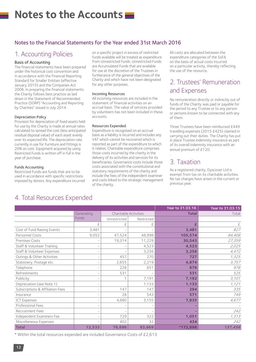# **Notes to the Accounts**

## Notes to the Financial Statements for the Year ended 31st March 2016

## 1. Accounting Policies

### Basis of Accounting

The financial statements have been prepared under the historical cost convention and in accordance with the Financial Reporting Standard for Smaller Entities (effective January 2015) and the Companies Act 2006. In preparing the financial statements the Charity follows best practice as laid down in the Statement of Recommended Practice (SORP) "Accounting and Reporting by Charities" issued in July 2014.

#### Depreciation Policy

Provision for depreciation of fixed assets held for use by the Charity is made at annual rates calculated to spread the cost (less anticipated residual disposal value) of each asset evenly over its expected life. The depreciation rate currently in use for Furniture and Fittings is 20% on cost. Equipment acquired by using Restricted Funds is written off in full in the year of purchase.

#### Funds Accounting

Restricted Funds are funds that are to be used in accordance with specific restrictions imposed by donors. Any expenditure incurred on a specific project in excess of restricted funds available will be treated as expenditure from Unrestricted Funds. Unrestricted Funds are Accumulated Funds that are available for use at the discretion of the Trustees in furtherance of the general objectives of the Charity and which have not been designated for any other purposes.

#### Incoming Resources

All incoming resources are included in the statement of financial activities on an accrual basis. The value of services provided by volunteers has not been included in these accounts.

#### Resources Expended

Expenditure is recognised on an accrual basis as a liability is incurred and includes any VAT which cannot be recovered which is reported as part of the expenditure to which it relates. Charitable expenditure comprises those costs incurred by the charity in the delivery of its activities and services for its beneficiaries. Governance costs include those costs associated with the constitutional and statutory requirements of the charity and include the fees of the independent examiner and costs linked to the strategic management of the charity.

All costs are allocated between the expenditure categories of the SoFA on the basis of actual costs incurred on a particular activity, thereby reflecting the use of the resource.

# 2. Trustees' Remuneration and Expenses

No remuneration directly or indirectly out of funds of the Charity was paid or payable for the period to any Trustee or to any person or persons known to be connected with any of them.

Three Trustees have been reimbursed £449 travelling expenses (2015 £425) claimed in carrying out their duties. The Charity has put in place Trustee Indemnity insurance as part of its overall indemnity insurance with an annual premium of £120.

# 3. Taxation

.

As a registered charity, Dyscover Ltd is exempt from tax on its charitable activities. No tax charges have arisen in the current or previous year.

|                                  |            |                       |            | Year to 31.03.16 | Year to 31.03.15 |
|----------------------------------|------------|-----------------------|------------|------------------|------------------|
|                                  | Generating | Charitable Activities |            | <b>Total</b>     | Total            |
|                                  | Funds      | Unrestricted          | Restricted |                  |                  |
|                                  | £          | £                     | £          |                  | £                |
| Cost of Fund Raising Events      | 3,481      |                       |            | 3,481            | 827              |
| Personnel Costs                  | 9,052      | 47,524                | 48,998     | 105,574          | 84,408           |
| Premises Costs                   |            | 19,314                | 11,229     | 30,543           | 27,359           |
| Staff & Volunteer Training       |            |                       | 4,523      | 4,523            | 2,025            |
| Staff & Volunteer Expenses       |            |                       | 3,256      | 3,256            | 4,472            |
| Outings & Other Activities       |            | 457                   | 270        | 727              | 1,325            |
| Stationery, Postage etc.         |            | 2,655                 | 2,219      | 4,874            | 3,757            |
| Telephone                        |            | 228                   | 651        | 879              | 978              |
| Refreshments                     |            | 531                   |            | 531              | 525              |
| Publicity                        |            | 1                     | 7,191      | 7,192            | 3,101            |
| Depreciation (see Note 1)        |            |                       | 1,133      | 1,133            | 1,121            |
| Subscriptions & Affiliation Fees |            | 147                   | 147        | 294              | 335              |
| Insurance                        |            | 28                    | 543        | 571              | 749              |
| <b>ICT Expenses</b>              |            | 4,680                 | 3,155      | 7,835            | 4,677            |
| Professional Fees                |            |                       |            |                  |                  |
| Recruitment Fees                 |            |                       |            |                  | 242              |
| Independent Examiners Fee        |            | 729                   | 322        | 1,051            | 1,313            |
| Miscellaneous Expenses           |            | 402                   | 32         | 434              | 242              |
| <b>Total</b>                     | 12,533     | 76,696                | 83,669     | *172,898         | 137,456          |

\* Within the total resources expended are included Governance Costs of £2,613

## 4. Total Resources Expended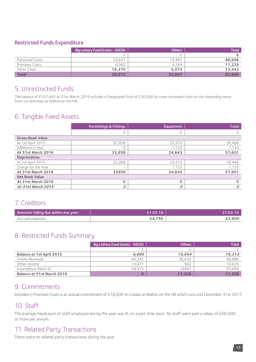## Restricted Funds Expenditure

|                       | <b>Big Lottery Fund Grants - ASOSS</b> | <b>Others</b> | <b>Total</b> |
|-----------------------|----------------------------------------|---------------|--------------|
|                       |                                        |               |              |
| Personnel Costs       | 33,637                                 | 15.361        | 48,998       |
| <b>Premises Costs</b> | 6,965                                  | 4.264         | 11,229       |
| Other Costs           | 18,370                                 | 5,072         | 23,442       |
| <b>Total</b>          | 58,972                                 | 24.697        | 83,669       |

## 5. Unrestricted Funds

The balance of £107,492 at 31st March 2016 includes a Designated fund of £30,000 to cover increased costs on the impending move from our premises at Walton on the Hill.

## 6. Tangible Fixed Assets

|                         | <b>Furnishings &amp; Fittings</b> | Equipment | <b>Total</b>  |
|-------------------------|-----------------------------------|-----------|---------------|
|                         | £                                 |           | £             |
| <b>Gross Book Value</b> |                                   |           |               |
| At 1st April 2015       | 32,958                            | 23,510    | 56,468        |
| Additions in Year       | $\Omega$                          | 1.133     | 1,133         |
| At 31st March 2016      | 32,958                            | 24,643    | 57,601        |
| <b>Depreciation</b>     |                                   |           |               |
| At 1st April 2015       | 32,958                            | 23,510    | 56,468        |
| Charge for the Year     | $\qquad \qquad =$                 | 1,133     | 1,133         |
| At 31st March 2016      | 32958                             | 24,643    | 57,601        |
| <b>Net Book Value</b>   |                                   |           |               |
| At 31st March 2016      | $\Omega$                          | $\Omega$  | $\mathbf 0$   |
| At 31st March 2015      | 0                                 | O         | $\mathcal{O}$ |

## 7. Creditors

| Amounts falling due within one year: | 31.03.16 | 31.03.15 |
|--------------------------------------|----------|----------|
| Accrued expenses                     | £4,750   | £2,800   |

# 8. Restricted Funds Summary

|                                  | <b>Big Lottery Fund Grants - ASOSS</b> | <b>Others</b> | <b>Total</b> |
|----------------------------------|----------------------------------------|---------------|--------------|
|                                  |                                        |               |              |
| <b>Balance at 1st April 2015</b> | 4.660                                  | 14,654        | 19,314       |
| <b>Grants Received</b>           | 40.341                                 | 26.639        | 66,980       |
| Other Income                     | 13.971                                 | 662           | 14,633       |
| Expenditure (Note 4)             | 58.972                                 | 24697         | 83.669       |
| Balance at 31st March 2016       | 0                                      | 17,258        | 17,258       |

## 9. Commitments

Included in Premises Costs is an annual commitment of £18,500 on a lease at Walton on the Hill which runs until December 31st 2017.

## 10. Staff

The average headcount of staff employed during the year was 8, on a part time basis. No staff were paid a salary of £60,000 or more per annum.

## 11. Related Party Transactions

There were no related party transactions during the year.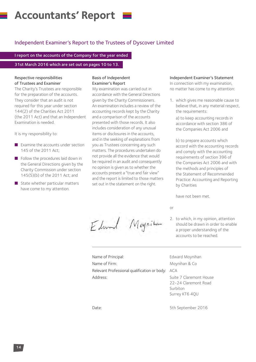# **Accountants' Report**

## Independent Examiner's Report to the Trustees of Dyscover Limited

I report on the accounts of the Company for the year ended

31st March 2016 which are set out on pages 10 to 13.

#### Respective responsibilities of Trustees and Examiner

The Charity's Trustees are responsible for the preparation of the accounts. They consider that an audit is not required for this year under section 144(2) of the Charities Act 2011 (the 2011 Act) and that an Independent Examination is needed.

It is my responsibility to:

- $\blacksquare$  Examine the accounts under section 145 of the 2011 Act;
- $\blacksquare$  Follow the procedures laid down in the General Directions given by the Charity Commission under section 145(5)(b) of the 2011 Act; and
- $\blacksquare$  State whether particular matters have come to my attention.

#### Basis of Independent Examiner's Report

My examination was carried out in accordance with the General Directions given by the Charity Commissioners. An examination includes a review of the accounting records kept by the Charity and a comparison of the accounts presented with those records. It also includes consideration of any unusual items or disclosures in the accounts, and in the seeking of explanations from you as Trustees concerning any such matters. The procedures undertaken do not provide all the evidence that would be required in an audit and consequently no opinion is given as to whether the accounts present a "true and fair view" and the report is limited to those matters set out in the statement on the right.

### Independent Examiner's Statement

In connection with my examination, no matter has come to my attention:

1. which gives me reasonable cause to believe that, in any material respect, the requirements:

a) to keep accounting records in accordance with section 386 of the Companies Act 2006 and

b) to prepare accounts which accord with the accounting records and comply with the accounting requirements of section 396 of the Companies Act 2006 and with the methods and principles of the Statement of Recommended Practice: Accounting and Reporting by Charities

have not been met.

or

2. to which, in my opinion, attention should be drawn in order to enable a proper understanding of the accounts to be reached.

Name of Principal: Edward Moynihan Name of Firm: Moynihan & Co Relevant Professional qualification or body: ACA Address: Suite 7 Claremont House

Edward Mognition

22-24 Claremont Road Surbiton Surrey KT6 4QU

Date: 5th September 2016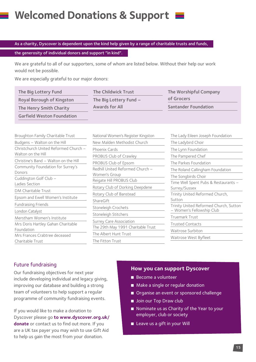# **Welcomed Donations & Support**

As a charity, Dyscover is dependent upon the kind help given by a range of charitable trusts and funds, the generosity of individual donors and support "in kind".

We are grateful to all of our supporters, some of whom are listed below. Without their help our work would not be possible.

We are especially grateful to our major donors:

| The Big Lottery Fund              | The Childwick Trust      | The Worshipful Company      |
|-----------------------------------|--------------------------|-----------------------------|
| Royal Borough of Kingston         | The Big Lottery Fund $-$ | of Grocers                  |
| The Henry Smith Charity           | Awards for All           | <b>Santander Foundation</b> |
| <b>Garfield Weston Foundation</b> |                          |                             |

| Broughton Family Charitable Trust           | National Women's Register Kingston                | The Lady Eileen Joseph Foundation                     |  |
|---------------------------------------------|---------------------------------------------------|-------------------------------------------------------|--|
| Budgens - Walton on the Hill                | New Malden Methodist Church                       | The Ladybird Choir                                    |  |
| Christchurch United Reformed Church -       | Phoenix Cards                                     | The Lynn Foundation                                   |  |
| Walton on the Hill                          | PROBUS Club of Crawley                            | The Pampered Chef                                     |  |
| Christine's Band - Walton on the Hill       | PROBUS Club of Epsom                              | The Parkes Foundation                                 |  |
| Community Foundation for Surrey's<br>Donors | Redhill United Reformed Church -<br>Women's Group | The Roland Callingham Foundation                      |  |
| Cuddington Golf Club -                      | Reigate Hill PROBUS Club                          | The Songbirds Choir                                   |  |
| Ladies Section                              | Rotary Club of Dorking Deepdene                   | Time Well Spent Pubs & Restaurants -<br>Surrey/Sussex |  |
| DM Charitable Trust                         | Rotary Club of Banstead                           | Trinity United Reformed Church,                       |  |
| Epsom and Ewell Women's Institute           |                                                   | Sutton                                                |  |
| Fundraising Friends                         | ShareGift                                         | Trinity United Reformed Church, Sutton                |  |
| London Catalyst                             | Stoneleigh Crochets                               | - Women's Fellowship Club                             |  |
| Merstham Women's Institute                  | Stoneleigh Stitchers                              | Truemark Trust                                        |  |
| Mrs Doris Hartley Gahan Charitable          | <b>Surrey Care Association</b>                    | <b>Trusted Contacts</b>                               |  |
| Foundation                                  | The 29th May 1991 Charitable Trust                | Waitrose Surbiton                                     |  |
| Mrs Frances Crabtree deceased               | The Albert Hunt Trust                             | Waitrose West Byfleet                                 |  |
| Charitable Trust                            | The Fitton Trust                                  |                                                       |  |

## Future fundraising

Our fundraising objectives for next year include developing individual and legacy giving, improving our database and building a strong team of volunteers to help support a regular programme of community fundraising events.

If you would like to make a donation to Dyscover please go **to www.dyscover.org.uk/ donate** or contact us to find out more. If you are a UK tax payer you may wish to use Gift Aid to help us gain the most from your donation.

### **How you can support Dyscover**

- $\blacksquare$  Become a volunteer
- $\blacksquare$  Make a single or regular donation
- Organise an event or sponsored challenge
- **n** Join our Top Draw club
- $\blacksquare$  Nominate us as Charity of the Year to your employer, club or society
- $\blacksquare$  Leave us a gift in your Will